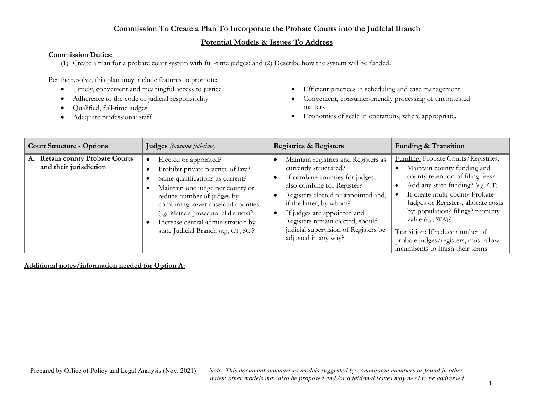### **Potential Models & Issues To Address**

#### **Commission Duties**:

(1) Create a plan for a probate court system with full-time judges; and (2) Describe how the system will be funded.

Per the resolve, this plan **may** include features to promote:

- Timely, convenient and meaningful access to justice
- Adherence to the code of judicial responsibility
- Qualified, full-time judges
- Adequate professional staff
- Efficient practices in scheduling and case management
- Convenient, consumer-friendly processing of uncontested matters
- Economies of scale in operations, where appropriate.

| <b>Court Structure - Options</b>                                    | Judges (presume full-time)                                                                                                                                                                                                                                                                                                      | <b>Registries &amp; Registers</b>                                                                                                                                                                                                                                                                                                   | <b>Funding &amp; Transition</b>                                                                                                                                                                                                                                                                                                                                                                   |
|---------------------------------------------------------------------|---------------------------------------------------------------------------------------------------------------------------------------------------------------------------------------------------------------------------------------------------------------------------------------------------------------------------------|-------------------------------------------------------------------------------------------------------------------------------------------------------------------------------------------------------------------------------------------------------------------------------------------------------------------------------------|---------------------------------------------------------------------------------------------------------------------------------------------------------------------------------------------------------------------------------------------------------------------------------------------------------------------------------------------------------------------------------------------------|
| <b>Retain county Probate Courts</b><br>А.<br>and their jurisdiction | Elected or appointed?<br>Prohibit private practice of law?<br>Same qualifications as current?<br>Maintain one judge per county or<br>reduce number of judges by<br>combining lower-caseload counties<br>(e.g., Maine's prosecutorial districts)?<br>Increase central administration by<br>state Judicial Branch (e.g., CT, SC)? | Maintain registries and Registers as<br>currently structured?<br>If combine counties for judges,<br>also combine for Register?<br>Registers elected or appointed and,<br>if the latter, by whom?<br>If judges are appointed and<br>Registers remain elected, should<br>judicial supervision of Registers be<br>adjusted in any way? | Funding: Probate Courts/Registries:<br>Maintain county funding and<br>county retention of filing fees?<br>Add any state funding? (e.g., CT)<br>If create multi-county Probate<br>Judges or Registers, allocate costs<br>by: population? filings? property<br>value $(e.g., WA)$ ?<br>Transition: If reduce number of<br>probate judges/registers, must allow<br>incumbents to finish their terms. |

**Additional notes/information needed for Option A:**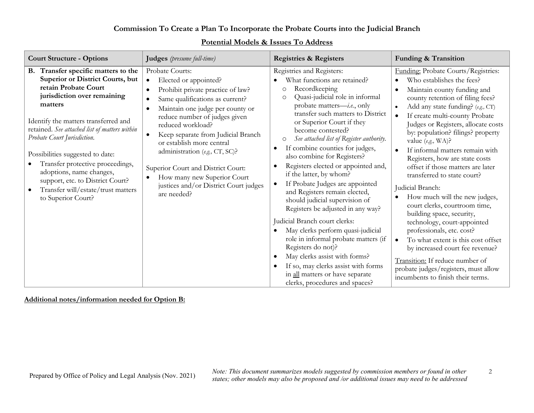| <b>Court Structure - Options</b>                                                                                                                                                                                                                                                                                                                                                                                                                                      | Judges (presume full-time)                                                                                                                                                                                                                                                                                                                                                                                                                                | <b>Registries &amp; Registers</b>                                                                                                                                                                                                                                                                                                                                                                                                                                                                                                                                                                                                                                                                                                                                                                                                                                                   | Funding & Transition                                                                                                                                                                                                                                                                                                                                                                                                                                                                                                                                                                                                                                                                                                                                                                                                                                                                                          |
|-----------------------------------------------------------------------------------------------------------------------------------------------------------------------------------------------------------------------------------------------------------------------------------------------------------------------------------------------------------------------------------------------------------------------------------------------------------------------|-----------------------------------------------------------------------------------------------------------------------------------------------------------------------------------------------------------------------------------------------------------------------------------------------------------------------------------------------------------------------------------------------------------------------------------------------------------|-------------------------------------------------------------------------------------------------------------------------------------------------------------------------------------------------------------------------------------------------------------------------------------------------------------------------------------------------------------------------------------------------------------------------------------------------------------------------------------------------------------------------------------------------------------------------------------------------------------------------------------------------------------------------------------------------------------------------------------------------------------------------------------------------------------------------------------------------------------------------------------|---------------------------------------------------------------------------------------------------------------------------------------------------------------------------------------------------------------------------------------------------------------------------------------------------------------------------------------------------------------------------------------------------------------------------------------------------------------------------------------------------------------------------------------------------------------------------------------------------------------------------------------------------------------------------------------------------------------------------------------------------------------------------------------------------------------------------------------------------------------------------------------------------------------|
| B. Transfer specific matters to the<br>Superior or District Courts, but<br>retain Probate Court<br>jurisdiction over remaining<br>matters<br>Identify the matters transferred and<br>retained. See attached list of matters within<br>Probate Court Jurisdiction.<br>Possibilities suggested to date:<br>Transfer protective proceedings,<br>adoptions, name changes,<br>support, etc. to District Court?<br>Transfer will/estate/trust matters<br>to Superior Court? | Probate Courts:<br>Elected or appointed?<br>$\bullet$<br>Prohibit private practice of law?<br>Same qualifications as current?<br>Maintain one judge per county or<br>reduce number of judges given<br>reduced workload?<br>Keep separate from Judicial Branch<br>or establish more central<br>administration (e.g., CT, SC)?<br>Superior Court and District Court:<br>How many new Superior Court<br>justices and/or District Court judges<br>are needed? | Registries and Registers:<br>What functions are retained?<br>Recordkeeping<br>O<br>Quasi-judicial role in informal<br>O<br>probate matters- <i>i.e.</i> , only<br>transfer such matters to District<br>or Superior Court if they<br>become contested?<br>See attached list of Register authority.<br>O<br>If combine counties for judges,<br>$\bullet$<br>also combine for Registers?<br>Registers elected or appointed and,<br>if the latter, by whom?<br>If Probate Judges are appointed<br>and Registers remain elected,<br>should judicial supervision of<br>Registers be adjusted in any way?<br>Judicial Branch court clerks:<br>May clerks perform quasi-judicial<br>role in informal probate matters (if<br>Registers do not)?<br>May clerks assist with forms?<br>If so, may clerks assist with forms<br>in all matters or have separate<br>clerks, procedures and spaces? | Funding: Probate Courts/Registries:<br>Who establishes the fees?<br>$\bullet$<br>Maintain county funding and<br>$\bullet$<br>county retention of filing fees?<br>Add any state funding? (e.g., CT)<br>If create multi-county Probate<br>$\bullet$<br>Judges or Registers, allocate costs<br>by: population? filings? property<br>value $(e.g., WA)$ ?<br>If informal matters remain with<br>$\bullet$<br>Registers, how are state costs<br>offset if those matters are later<br>transferred to state court?<br>Judicial Branch:<br>How much will the new judges,<br>$\bullet$<br>court clerks, courtroom time,<br>building space, security,<br>technology, court-appointed<br>professionals, etc. cost?<br>To what extent is this cost offset<br>$\bullet$<br>by increased court fee revenue?<br>Transition: If reduce number of<br>probate judges/registers, must allow<br>incumbents to finish their terms. |

# **Potential Models & Issues To Address**

#### **Additional notes/information needed for Option B:**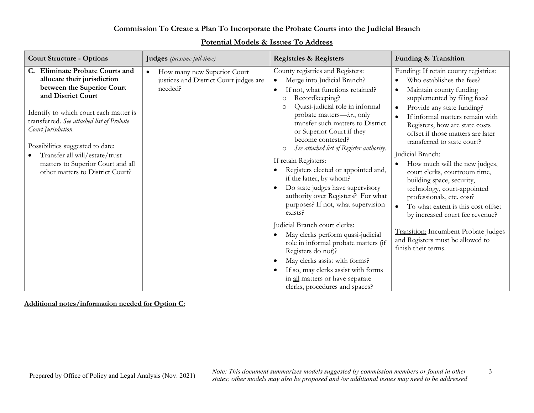| <b>Court Structure - Options</b>                                                                                                                                                                                                                                                                                                                                                          | Judges (presume full-time)                                                       | <b>Registries &amp; Registers</b>                                                                                                                                                                                                                                                                                                                                                                                                                                                                                                                                                                                                                                                                                                                                                                                                                                                                                                                              | Funding & Transition                                                                                                                                                                                                                                                                                                                                                                                                                                                                                                                                                                                                                                                                |
|-------------------------------------------------------------------------------------------------------------------------------------------------------------------------------------------------------------------------------------------------------------------------------------------------------------------------------------------------------------------------------------------|----------------------------------------------------------------------------------|----------------------------------------------------------------------------------------------------------------------------------------------------------------------------------------------------------------------------------------------------------------------------------------------------------------------------------------------------------------------------------------------------------------------------------------------------------------------------------------------------------------------------------------------------------------------------------------------------------------------------------------------------------------------------------------------------------------------------------------------------------------------------------------------------------------------------------------------------------------------------------------------------------------------------------------------------------------|-------------------------------------------------------------------------------------------------------------------------------------------------------------------------------------------------------------------------------------------------------------------------------------------------------------------------------------------------------------------------------------------------------------------------------------------------------------------------------------------------------------------------------------------------------------------------------------------------------------------------------------------------------------------------------------|
| <b>Eliminate Probate Courts and</b><br>C.<br>allocate their jurisdiction<br>between the Superior Court<br>and District Court<br>Identify to which court each matter is<br>transferred. See attached list of Probate<br>Court Jurisdiction.<br>Possibilities suggested to date:<br>Transfer all will/estate/trust<br>matters to Superior Court and all<br>other matters to District Court? | How many new Superior Court<br>justices and District Court judges are<br>needed? | County registries and Registers:<br>Merge into Judicial Branch?<br>$\bullet$<br>If not, what functions retained?<br>$\bullet$<br>Recordkeeping?<br>O<br>Quasi-judicial role in informal<br>$\circ$<br>probate matters— <i>i.e.</i> , only<br>transfer such matters to District<br>or Superior Court if they<br>become contested?<br>See attached list of Register authority.<br>$\circ$<br>If retain Registers:<br>Registers elected or appointed and,<br>$\bullet$<br>if the latter, by whom?<br>Do state judges have supervisory<br>$\bullet$<br>authority over Registers? For what<br>purposes? If not, what supervision<br>exists?<br>Judicial Branch court clerks:<br>May clerks perform quasi-judicial<br>$\bullet$<br>role in informal probate matters (if<br>Registers do not)?<br>May clerks assist with forms?<br>$\bullet$<br>If so, may clerks assist with forms<br>$\bullet$<br>in all matters or have separate<br>clerks, procedures and spaces? | Funding: If retain county registries:<br>Who establishes the fees?<br>Maintain county funding<br>supplemented by filing fees?<br>Provide any state funding?<br>If informal matters remain with<br>Registers, how are state costs<br>offset if those matters are later<br>transferred to state court?<br>Judicial Branch:<br>How much will the new judges,<br>court clerks, courtroom time,<br>building space, security,<br>technology, court-appointed<br>professionals, etc. cost?<br>To what extent is this cost offset<br>$\bullet$<br>by increased court fee revenue?<br><b>Transition:</b> Incumbent Probate Judges<br>and Registers must be allowed to<br>finish their terms. |

# **Potential Models & Issues To Address**

### **Additional notes/information needed for Option C:**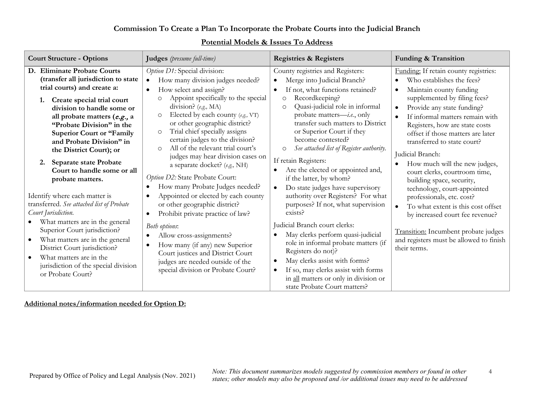| <b>Court Structure - Options</b>                                                                                                                                                                                                                                                                                                                                                                                   | Judges (presume full-time)                                                                                                                                                                                                                                                                                                                                                                                                                                                                                                                    | <b>Registries &amp; Registers</b>                                                                                                                                                                                                                                                                                                                                                                                                                                                                                                             | Funding & Transition                                                                                                                                                                                                                                                                                                                                                                                                                                                |
|--------------------------------------------------------------------------------------------------------------------------------------------------------------------------------------------------------------------------------------------------------------------------------------------------------------------------------------------------------------------------------------------------------------------|-----------------------------------------------------------------------------------------------------------------------------------------------------------------------------------------------------------------------------------------------------------------------------------------------------------------------------------------------------------------------------------------------------------------------------------------------------------------------------------------------------------------------------------------------|-----------------------------------------------------------------------------------------------------------------------------------------------------------------------------------------------------------------------------------------------------------------------------------------------------------------------------------------------------------------------------------------------------------------------------------------------------------------------------------------------------------------------------------------------|---------------------------------------------------------------------------------------------------------------------------------------------------------------------------------------------------------------------------------------------------------------------------------------------------------------------------------------------------------------------------------------------------------------------------------------------------------------------|
| D. Eliminate Probate Courts<br>(transfer all jurisdiction to state<br>trial courts) and create a:<br>1. Create special trial court<br>division to handle some or<br>all probate matters (e.g., a<br>"Probate Division" in the<br><b>Superior Court or "Family</b><br>and Probate Division" in<br>the District Court); or<br><b>Separate state Probate</b><br>2.<br>Court to handle some or all<br>probate matters. | Option D1: Special division:<br>How many division judges needed?<br>How select and assign?<br>$\bullet$<br>Appoint specifically to the special<br>$\circ$<br>division? (e.g., MA)<br>Elected by each county (e.g., VT)<br>$\circ$<br>or other geographic district?<br>Trial chief specially assigns<br>$\circ$<br>certain judges to the division?<br>All of the relevant trial court's<br>$\circ$<br>judges may hear division cases on<br>a separate docket? (e.g., NH)<br>Option D2: State Probate Court:<br>How many Probate Judges needed? | County registries and Registers:<br>Merge into Judicial Branch?<br>$\bullet$<br>If not, what functions retained?<br>$\bullet$<br>Recordkeeping?<br>O<br>Quasi-judicial role in informal<br>$\circ$<br>probate matters- <i>i.e.</i> , only<br>transfer such matters to District<br>or Superior Court if they<br>become contested?<br>See attached list of Register authority.<br>$\circ$<br>If retain Registers:<br>Are the elected or appointed and,<br>$\bullet$<br>if the latter, by whom?<br>Do state judges have supervisory<br>$\bullet$ | Funding: If retain county registries:<br>Who establishes the fees?<br>Maintain county funding<br>$\bullet$<br>supplemented by filing fees?<br>Provide any state funding?<br>If informal matters remain with<br>Registers, how are state costs<br>offset if those matters are later<br>transferred to state court?<br>Judicial Branch:<br>How much will the new judges,<br>court clerks, courtroom time,<br>building space, security,<br>technology, court-appointed |
| Identify where each matter is<br>transferred. See attached list of Probate<br>Court Jurisdiction.<br>What matters are in the general<br>$\bullet$<br>Superior Court jurisdiction?<br>What matters are in the general<br>٠<br>District Court jurisdiction?<br>What matters are in the<br>$\bullet$<br>jurisdiction of the special division<br>or Probate Court?                                                     | Appointed or elected by each county<br>or other geographic district?<br>Prohibit private practice of law?<br>$\bullet$<br>Both options:<br>Allow cross-assignments?<br>How many (if any) new Superior<br>Court justices and District Court<br>judges are needed outside of the<br>special division or Probate Court?                                                                                                                                                                                                                          | authority over Registers? For what<br>purposes? If not, what supervision<br>exists?<br>Judicial Branch court clerks:<br>May clerks perform quasi-judicial<br>$\bullet$<br>role in informal probate matters (if<br>Registers do not)?<br>May clerks assist with forms?<br>$\bullet$<br>If so, may clerks assist with forms<br>$\bullet$<br>in all matters or only in division or<br>state Probate Court matters?                                                                                                                               | professionals, etc. cost?<br>To what extent is this cost offset<br>$\bullet$<br>by increased court fee revenue?<br>Transition: Incumbent probate judges<br>and registers must be allowed to finish<br>their terms.                                                                                                                                                                                                                                                  |

# **Potential Models & Issues To Address**

### **Additional notes/information needed for Option D:**